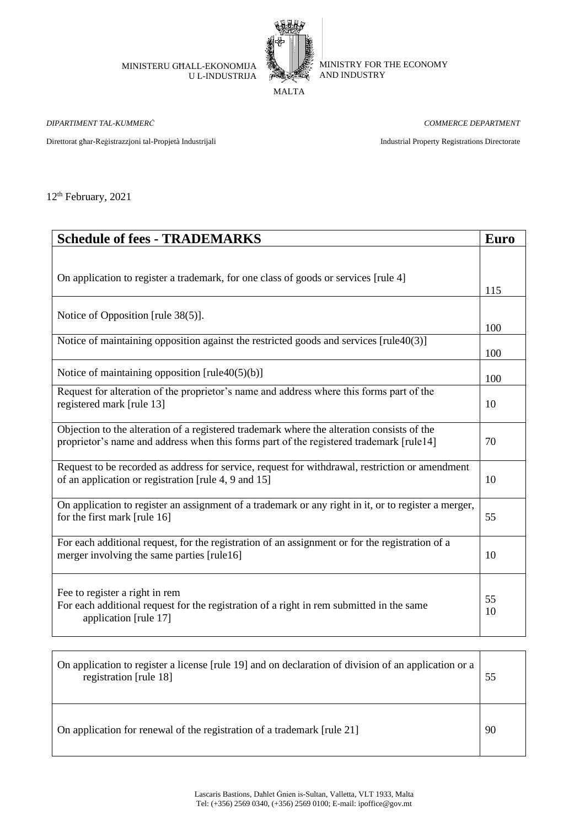MINISTERU GĦALL-EKONOMIJA U L-INDUSTRIJA



MINISTRY FOR THE ECONOMY AND INDUSTRY

MALTA

*DIPARTIMENT TAL-KUMMERĊ COMMERCE DEPARTMENT*

Direttorat għar-Reġistrazzjoni tal-Propjetà Industrijali Industrial Property Registrations Directorate

12th February, 2021

| <b>Schedule of fees - TRADEMARKS</b>                                                                                                                                                  | <b>Euro</b> |
|---------------------------------------------------------------------------------------------------------------------------------------------------------------------------------------|-------------|
| On application to register a trademark, for one class of goods or services [rule 4]                                                                                                   | 115         |
| Notice of Opposition [rule 38(5)].                                                                                                                                                    | 100         |
| Notice of maintaining opposition against the restricted goods and services [rule40(3)]                                                                                                | 100         |
| Notice of maintaining opposition $[\text{rule40(5)(b)}]$                                                                                                                              | 100         |
| Request for alteration of the proprietor's name and address where this forms part of the<br>registered mark [rule 13]                                                                 | 10          |
| Objection to the alteration of a registered trademark where the alteration consists of the<br>proprietor's name and address when this forms part of the registered trademark [rule14] | 70          |
| Request to be recorded as address for service, request for withdrawal, restriction or amendment<br>of an application or registration [rule 4, 9 and 15]                               | 10          |
| On application to register an assignment of a trademark or any right in it, or to register a merger,<br>for the first mark [rule 16]                                                  | 55          |
| For each additional request, for the registration of an assignment or for the registration of a<br>merger involving the same parties [rule16]                                         | 10          |
| Fee to register a right in rem<br>For each additional request for the registration of a right in rem submitted in the same<br>application [rule 17]                                   | 55<br>10    |

| On application to register a license [rule 19] and on declaration of division of an application or a<br>registration [rule 18] | 55 |
|--------------------------------------------------------------------------------------------------------------------------------|----|
| On application for renewal of the registration of a trademark [rule 21]                                                        | 90 |